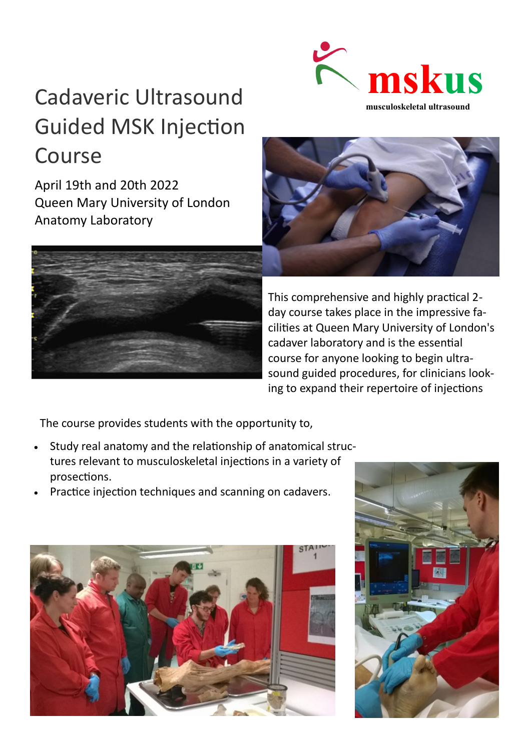# Cadaveric Ultrasound Guided MSK Injection Course

April 19th and 20th 2022 Queen Mary University of London Anatomy Laboratory







This comprehensive and highly practical 2 day course takes place in the impressive facilities at Queen Mary University of London's cadaver laboratory and is the essential course for anyone looking to begin ultrasound guided procedures, for clinicians looking to expand their repertoire of injections

The course provides students with the opportunity to,

- Study real anatomy and the relationship of anatomical structures relevant to musculoskeletal injections in a variety of prosections.
- Practice injection techniques and scanning on cadavers.